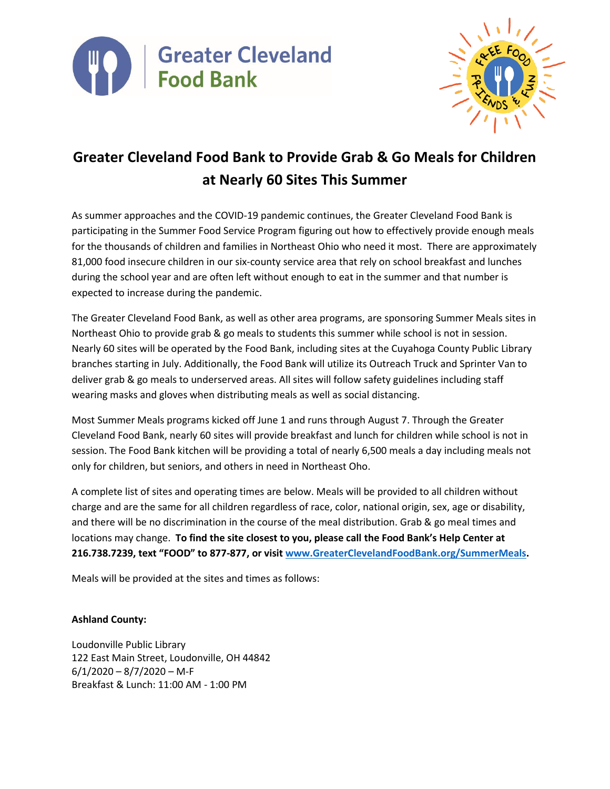



# **Greater Cleveland Food Bank to Provide Grab & Go Meals for Children at Nearly 60 Sites This Summer**

As summer approaches and the COVID-19 pandemic continues, the Greater Cleveland Food Bank is participating in the Summer Food Service Program figuring out how to effectively provide enough meals for the thousands of children and families in Northeast Ohio who need it most. There are approximately 81,000 food insecure children in our six-county service area that rely on school breakfast and lunches during the school year and are often left without enough to eat in the summer and that number is expected to increase during the pandemic.

The Greater Cleveland Food Bank, as well as other area programs, are sponsoring Summer Meals sites in Northeast Ohio to provide grab & go meals to students this summer while school is not in session. Nearly 60 sites will be operated by the Food Bank, including sites at the Cuyahoga County Public Library branches starting in July. Additionally, the Food Bank will utilize its Outreach Truck and Sprinter Van to deliver grab & go meals to underserved areas. All sites will follow safety guidelines including staff wearing masks and gloves when distributing meals as well as social distancing.

Most Summer Meals programs kicked off June 1 and runs through August 7. Through the Greater Cleveland Food Bank, nearly 60 sites will provide breakfast and lunch for children while school is not in session. The Food Bank kitchen will be providing a total of nearly 6,500 meals a day including meals not only for children, but seniors, and others in need in Northeast Oho.

A complete list of sites and operating times are below. Meals will be provided to all children without charge and are the same for all children regardless of race, color, national origin, sex, age or disability, and there will be no discrimination in the course of the meal distribution. Grab & go meal times and locations may change. **To find the site closest to you, please call the Food Bank's Help Center at 216.738.7239, text "FOOD" to 877-877, or visi[t www.GreaterClevelandFoodBank.org/SummerMeals.](http://www.greaterclevelandfoodbank.org/SummerMeals)** 

Meals will be provided at the sites and times as follows:

## **Ashland County:**

Loudonville Public Library 122 East Main Street, Loudonville, OH 44842  $6/1/2020 - 8/7/2020 - M-F$ Breakfast & Lunch: 11:00 AM - 1:00 PM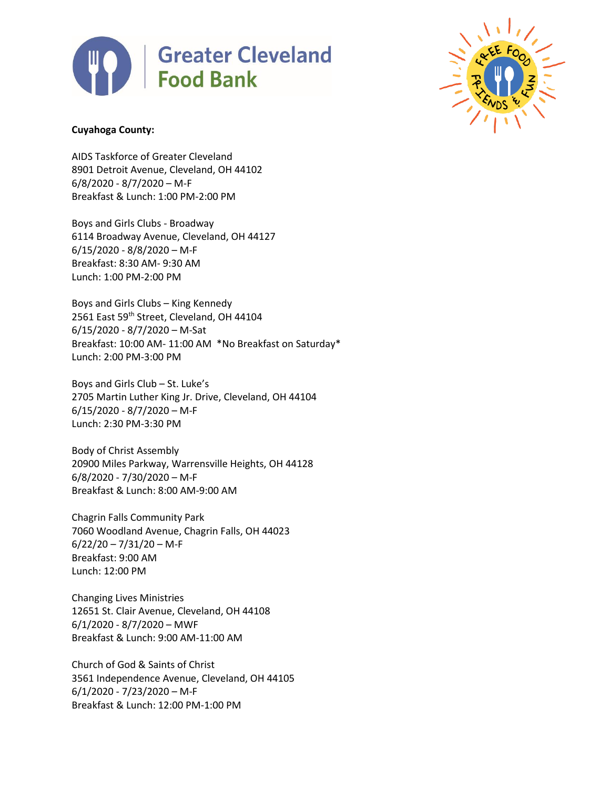



### **Cuyahoga County:**

AIDS Taskforce of Greater Cleveland 8901 Detroit Avenue, Cleveland, OH 44102 6/8/2020 - 8/7/2020 – M-F Breakfast & Lunch: 1:00 PM-2:00 PM

Boys and Girls Clubs - Broadway 6114 Broadway Avenue, Cleveland, OH 44127 6/15/2020 - 8/8/2020 – M-F Breakfast: 8:30 AM- 9:30 AM Lunch: 1:00 PM-2:00 PM

Boys and Girls Clubs – King Kennedy 2561 East 59th Street, Cleveland, OH 44104 6/15/2020 - 8/7/2020 – M-Sat Breakfast: 10:00 AM- 11:00 AM \*No Breakfast on Saturday\* Lunch: 2:00 PM-3:00 PM

Boys and Girls Club – St. Luke's 2705 Martin Luther King Jr. Drive, Cleveland, OH 44104 6/15/2020 - 8/7/2020 – M-F Lunch: 2:30 PM-3:30 PM

Body of Christ Assembly 20900 Miles Parkway, Warrensville Heights, OH 44128 6/8/2020 - 7/30/2020 – M-F Breakfast & Lunch: 8:00 AM-9:00 AM

Chagrin Falls Community Park 7060 Woodland Avenue, Chagrin Falls, OH 44023  $6/22/20 - 7/31/20 - M-F$ Breakfast: 9:00 AM Lunch: 12:00 PM

Changing Lives Ministries 12651 St. Clair Avenue, Cleveland, OH 44108 6/1/2020 - 8/7/2020 – MWF Breakfast & Lunch: 9:00 AM-11:00 AM

Church of God & Saints of Christ 3561 Independence Avenue, Cleveland, OH 44105 6/1/2020 - 7/23/2020 – M-F Breakfast & Lunch: 12:00 PM-1:00 PM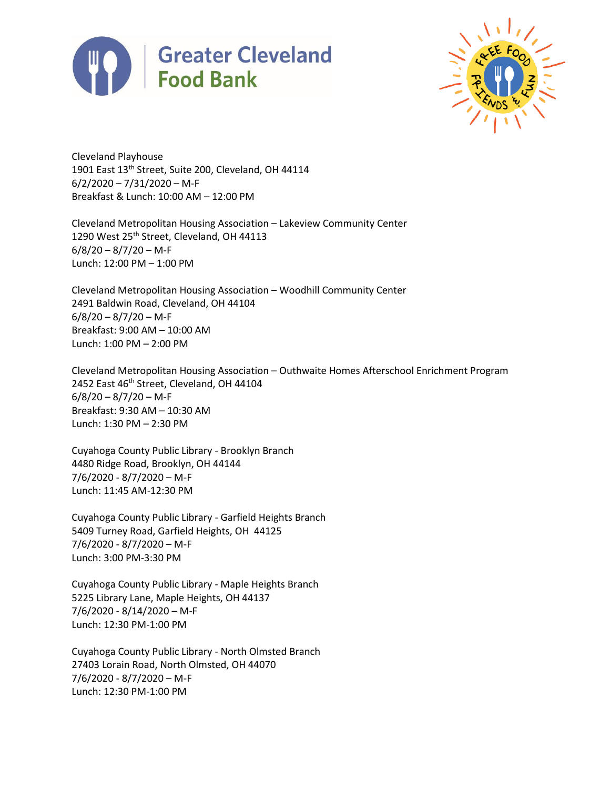



Cleveland Playhouse 1901 East 13<sup>th</sup> Street, Suite 200, Cleveland, OH 44114  $6/2/2020 - 7/31/2020 - M-F$ Breakfast & Lunch: 10:00 AM – 12:00 PM

Cleveland Metropolitan Housing Association – Lakeview Community Center 1290 West 25<sup>th</sup> Street, Cleveland, OH 44113  $6/8/20 - 8/7/20 - M-F$ Lunch: 12:00 PM – 1:00 PM

Cleveland Metropolitan Housing Association – Woodhill Community Center 2491 Baldwin Road, Cleveland, OH 44104  $6/8/20 - 8/7/20 - M-F$ Breakfast: 9:00 AM – 10:00 AM Lunch: 1:00 PM – 2:00 PM

Cleveland Metropolitan Housing Association – Outhwaite Homes Afterschool Enrichment Program 2452 East 46<sup>th</sup> Street, Cleveland, OH 44104  $6/8/20 - 8/7/20 - M-F$ Breakfast: 9:30 AM – 10:30 AM Lunch: 1:30 PM – 2:30 PM

Cuyahoga County Public Library - Brooklyn Branch 4480 Ridge Road, Brooklyn, OH 44144 7/6/2020 - 8/7/2020 – M-F Lunch: 11:45 AM-12:30 PM

Cuyahoga County Public Library - Garfield Heights Branch 5409 Turney Road, Garfield Heights, OH 44125 7/6/2020 - 8/7/2020 – M-F Lunch: 3:00 PM-3:30 PM

Cuyahoga County Public Library - Maple Heights Branch 5225 Library Lane, Maple Heights, OH 44137 7/6/2020 - 8/14/2020 – M-F Lunch: 12:30 PM-1:00 PM

Cuyahoga County Public Library - North Olmsted Branch 27403 Lorain Road, North Olmsted, OH 44070 7/6/2020 - 8/7/2020 – M-F Lunch: 12:30 PM-1:00 PM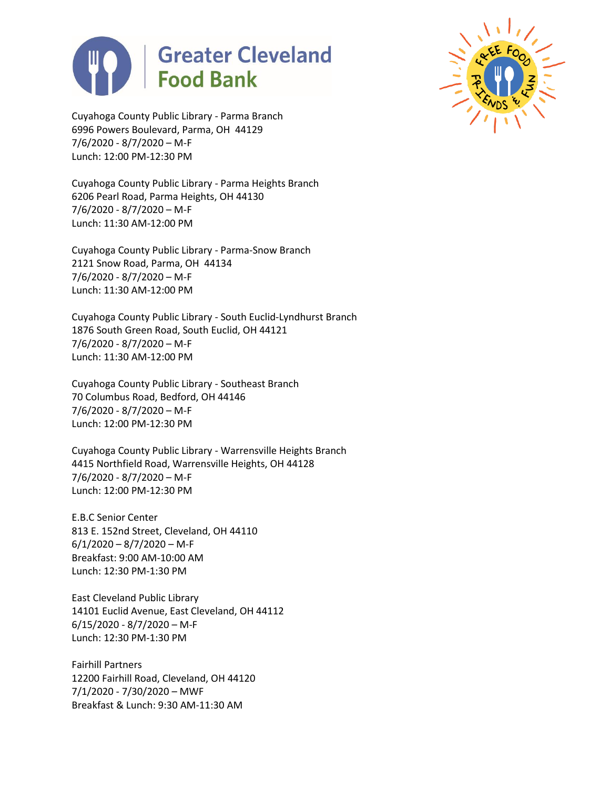



Cuyahoga County Public Library - Parma Branch 6996 Powers Boulevard, Parma, OH 44129 7/6/2020 - 8/7/2020 – M-F Lunch: 12:00 PM-12:30 PM

Cuyahoga County Public Library - Parma Heights Branch 6206 Pearl Road, Parma Heights, OH 44130 7/6/2020 - 8/7/2020 – M-F Lunch: 11:30 AM-12:00 PM

Cuyahoga County Public Library - Parma-Snow Branch 2121 Snow Road, Parma, OH 44134 7/6/2020 - 8/7/2020 – M-F Lunch: 11:30 AM-12:00 PM

Cuyahoga County Public Library - South Euclid-Lyndhurst Branch 1876 South Green Road, South Euclid, OH 44121 7/6/2020 - 8/7/2020 – M-F Lunch: 11:30 AM-12:00 PM

Cuyahoga County Public Library - Southeast Branch 70 Columbus Road, Bedford, OH 44146 7/6/2020 - 8/7/2020 – M-F Lunch: 12:00 PM-12:30 PM

Cuyahoga County Public Library - Warrensville Heights Branch 4415 Northfield Road, Warrensville Heights, OH 44128 7/6/2020 - 8/7/2020 – M-F Lunch: 12:00 PM-12:30 PM

E.B.C Senior Center 813 E. 152nd Street, Cleveland, OH 44110  $6/1/2020 - 8/7/2020 - M-F$ Breakfast: 9:00 AM-10:00 AM Lunch: 12:30 PM-1:30 PM

East Cleveland Public Library 14101 Euclid Avenue, East Cleveland, OH 44112 6/15/2020 - 8/7/2020 – M-F Lunch: 12:30 PM-1:30 PM

Fairhill Partners 12200 Fairhill Road, Cleveland, OH 44120 7/1/2020 - 7/30/2020 – MWF Breakfast & Lunch: 9:30 AM-11:30 AM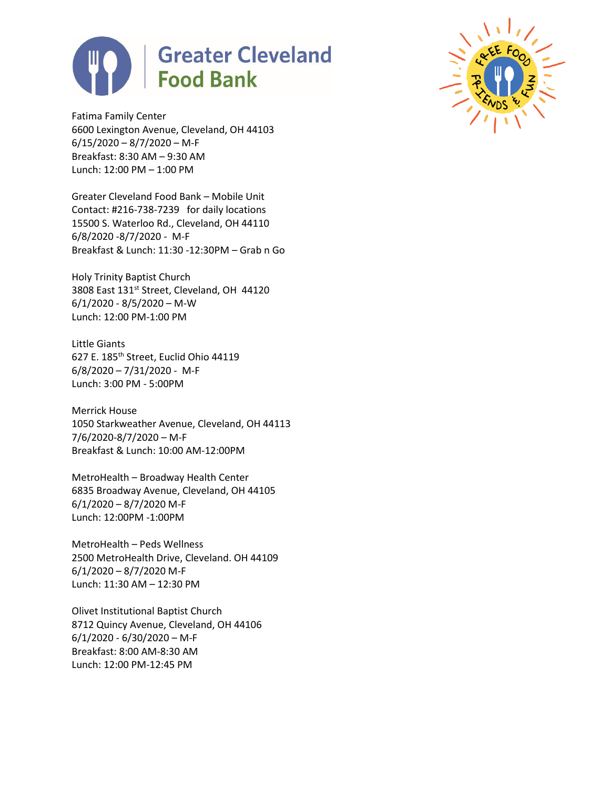

Fatima Family Center 6600 Lexington Avenue, Cleveland, OH 44103  $6/15/2020 - 8/7/2020 - M-F$ Breakfast: 8:30 AM – 9:30 AM Lunch: 12:00 PM – 1:00 PM

Greater Cleveland Food Bank – Mobile Unit Contact: #216-738-7239 for daily locations 15500 S. Waterloo Rd., Cleveland, OH 44110 6/8/2020 -8/7/2020 - M-F Breakfast & Lunch: 11:30 -12:30PM – Grab n Go

Holy Trinity Baptist Church 3808 East 131<sup>st</sup> Street, Cleveland, OH 44120 6/1/2020 - 8/5/2020 – M-W Lunch: 12:00 PM-1:00 PM

Little Giants 627 E. 185th Street, Euclid Ohio 44119 6/8/2020 – 7/31/2020 - M-F Lunch: 3:00 PM - 5:00PM

Merrick House 1050 Starkweather Avenue, Cleveland, OH 44113 7/6/2020-8/7/2020 – M-F Breakfast & Lunch: 10:00 AM-12:00PM

MetroHealth – Broadway Health Center 6835 Broadway Avenue, Cleveland, OH 44105 6/1/2020 – 8/7/2020 M-F Lunch: 12:00PM -1:00PM

MetroHealth – Peds Wellness 2500 MetroHealth Drive, Cleveland. OH 44109 6/1/2020 – 8/7/2020 M-F Lunch: 11:30 AM – 12:30 PM

Olivet Institutional Baptist Church 8712 Quincy Avenue, Cleveland, OH 44106 6/1/2020 - 6/30/2020 – M-F Breakfast: 8:00 AM-8:30 AM Lunch: 12:00 PM-12:45 PM

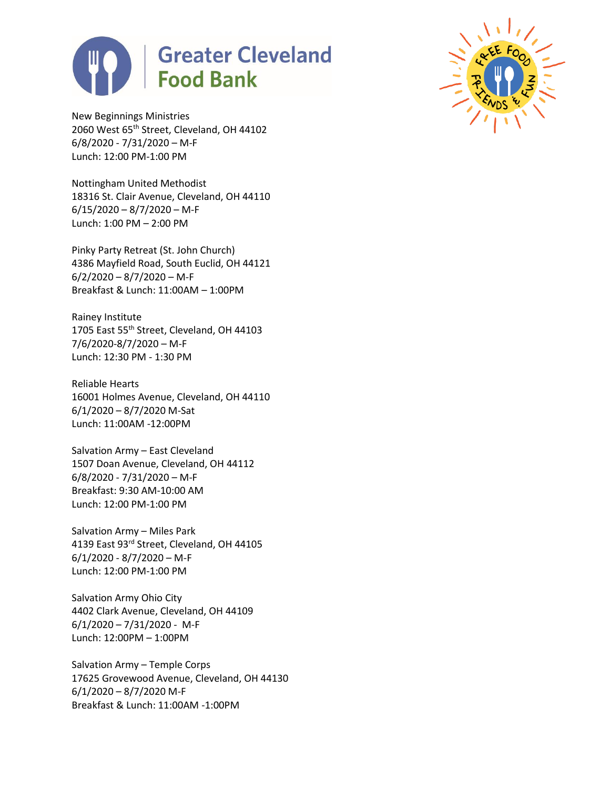



New Beginnings Ministries 2060 West 65<sup>th</sup> Street, Cleveland, OH 44102 6/8/2020 - 7/31/2020 – M-F Lunch: 12:00 PM-1:00 PM

Nottingham United Methodist 18316 St. Clair Avenue, Cleveland, OH 44110  $6/15/2020 - 8/7/2020 - M-F$ Lunch: 1:00 PM – 2:00 PM

Pinky Party Retreat (St. John Church) 4386 Mayfield Road, South Euclid, OH 44121  $6/2/2020 - 8/7/2020 - M-F$ Breakfast & Lunch: 11:00AM – 1:00PM

Rainey Institute 1705 East 55<sup>th</sup> Street, Cleveland, OH 44103 7/6/2020-8/7/2020 – M-F Lunch: 12:30 PM - 1:30 PM

Reliable Hearts 16001 Holmes Avenue, Cleveland, OH 44110 6/1/2020 – 8/7/2020 M-Sat Lunch: 11:00AM -12:00PM

Salvation Army – East Cleveland 1507 Doan Avenue, Cleveland, OH 44112 6/8/2020 - 7/31/2020 – M-F Breakfast: 9:30 AM-10:00 AM Lunch: 12:00 PM-1:00 PM

Salvation Army – Miles Park 4139 East 93rd Street, Cleveland, OH 44105 6/1/2020 - 8/7/2020 – M-F Lunch: 12:00 PM-1:00 PM

Salvation Army Ohio City 4402 Clark Avenue, Cleveland, OH 44109  $6/1/2020 - 7/31/2020 - M-F$ Lunch: 12:00PM – 1:00PM

Salvation Army – Temple Corps 17625 Grovewood Avenue, Cleveland, OH 44130 6/1/2020 – 8/7/2020 M-F Breakfast & Lunch: 11:00AM -1:00PM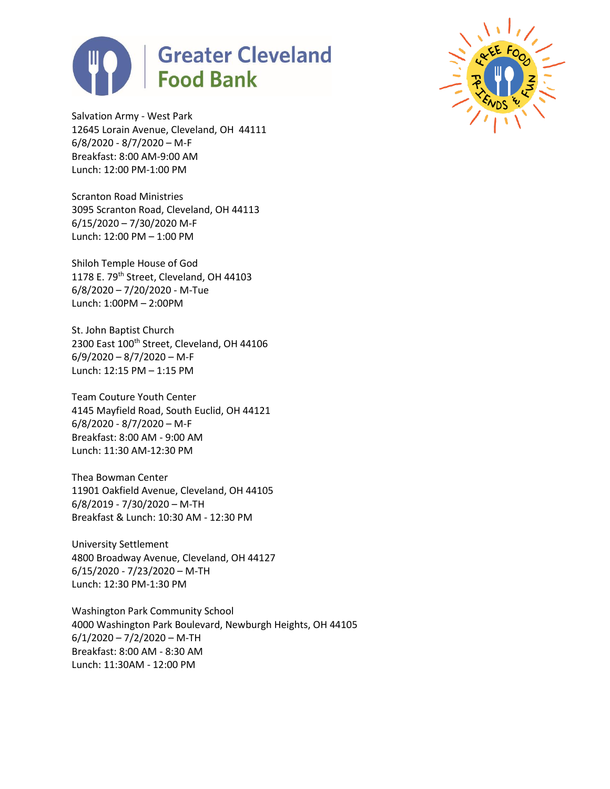



Salvation Army - West Park 12645 Lorain Avenue, Cleveland, OH 44111 6/8/2020 - 8/7/2020 – M-F Breakfast: 8:00 AM-9:00 AM Lunch: 12:00 PM-1:00 PM

Scranton Road Ministries 3095 Scranton Road, Cleveland, OH 44113 6/15/2020 – 7/30/2020 M-F Lunch: 12:00 PM – 1:00 PM

Shiloh Temple House of God 1178 E. 79<sup>th</sup> Street, Cleveland, OH 44103 6/8/2020 – 7/20/2020 - M-Tue Lunch: 1:00PM – 2:00PM

St. John Baptist Church 2300 East 100<sup>th</sup> Street, Cleveland, OH 44106  $6/9/2020 - 8/7/2020 - M-F$ Lunch: 12:15 PM – 1:15 PM

Team Couture Youth Center 4145 Mayfield Road, South Euclid, OH 44121 6/8/2020 - 8/7/2020 – M-F Breakfast: 8:00 AM - 9:00 AM Lunch: 11:30 AM-12:30 PM

Thea Bowman Center 11901 Oakfield Avenue, Cleveland, OH 44105 6/8/2019 - 7/30/2020 – M-TH Breakfast & Lunch: 10:30 AM - 12:30 PM

University Settlement 4800 Broadway Avenue, Cleveland, OH 44127 6/15/2020 - 7/23/2020 – M-TH Lunch: 12:30 PM-1:30 PM

Washington Park Community School 4000 Washington Park Boulevard, Newburgh Heights, OH 44105  $6/1/2020 - 7/2/2020 - M$ -TH Breakfast: 8:00 AM - 8:30 AM Lunch: 11:30AM - 12:00 PM